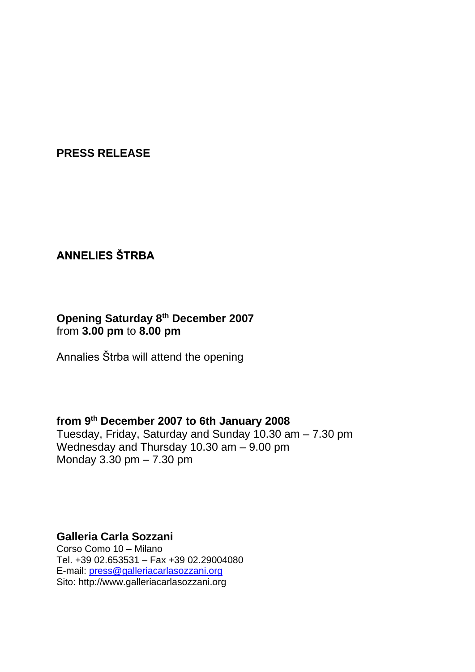**PRESS RELEASE**

# **ANNELIES ŠTRBA**

#### **Opening Saturday 8th December 2007**  from **3.00 pm** to **8.00 pm**

Annalies Štrba will attend the opening

## **from 9th December 2007 to 6th January 2008**

Tuesday, Friday, Saturday and Sunday 10.30 am – 7.30 pm Wednesday and Thursday 10.30 am – 9.00 pm Monday 3.30 pm – 7.30 pm

## **Galleria Carla Sozzani**

Corso Como 10 – Milano Tel. +39 02.653531 – Fax +39 02.29004080 E-mail: [press@galleriacarlasozzani.org](mailto:press@galleriacarlasozzani.org) Sito: http://www.galleriacarlasozzani.org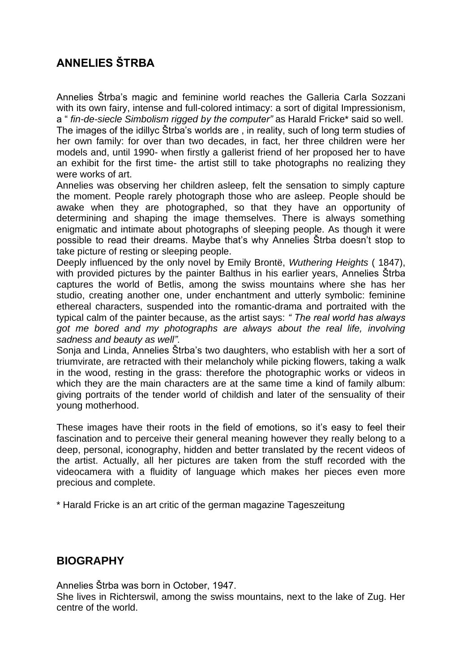# **ANNELIES ŠTRBA**

Annelies Štrba's magic and feminine world reaches the Galleria Carla Sozzani with its own fairy, intense and full-colored intimacy: a sort of digital Impressionism, a " *fin-de-siecle Simbolism rigged by the computer"* as Harald Fricke\* said so well.

The images of the idillyc Štrba's worlds are , in reality, such of long term studies of her own family: for over than two decades, in fact, her three children were her models and, until 1990- when firstly a gallerist friend of her proposed her to have an exhibit for the first time- the artist still to take photographs no realizing they were works of art.

Annelies was observing her children asleep, felt the sensation to simply capture the moment. People rarely photograph those who are asleep. People should be awake when they are photographed, so that they have an opportunity of determining and shaping the image themselves. There is always something enigmatic and intimate about photographs of sleeping people. As though it were possible to read their dreams. Maybe that's why Annelies Štrba doesn't stop to take picture of resting or sleeping people.

Deeply influenced by the only novel by Emily Brontë, *Wuthering Heights* ( 1847), with provided pictures by the painter Balthus in his earlier years, Annelies Štrba captures the world of Betlis, among the swiss mountains where she has her studio, creating another one, under enchantment and utterly symbolic: feminine ethereal characters, suspended into the romantic-drama and portraited with the typical calm of the painter because, as the artist says: *" The real world has always got me bored and my photographs are always about the real life, involving sadness and beauty as well".*

Sonja and Linda, Annelies Štrba's two daughters, who establish with her a sort of triumvirate, are retracted with their melancholy while picking flowers, taking a walk in the wood, resting in the grass: therefore the photographic works or videos in which they are the main characters are at the same time a kind of family album: giving portraits of the tender world of childish and later of the sensuality of their young motherhood.

These images have their roots in the field of emotions, so it's easy to feel their fascination and to perceive their general meaning however they really belong to a deep, personal, iconography, hidden and better translated by the recent videos of the artist. Actually, all her pictures are taken from the stuff recorded with the videocamera with a fluidity of language which makes her pieces even more precious and complete.

\* Harald Fricke is an art critic of the german magazine Tageszeitung

#### **BIOGRAPHY**

Annelies Štrba was born in October, 1947.

She lives in Richterswil, among the swiss mountains, next to the lake of Zug. Her centre of the world.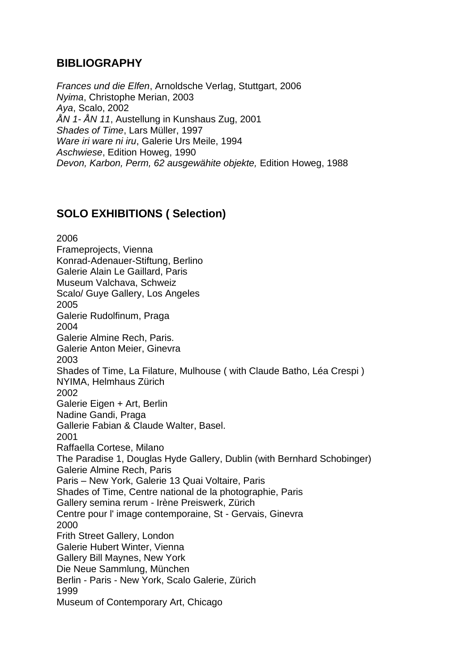### **BIBLIOGRAPHY**

*Frances und die Elfen*, Arnoldsche Verlag, Stuttgart, 2006 *Nyima*, Christophe Merian, 2003 *Aya*, Scalo, 2002 *ÅN 1- ÅN 11*, Austellung in Kunshaus Zug, 2001 *Shades of Time*, Lars Müller, 1997 *Ware iri ware ni iru*, Galerie Urs Meile, 1994 *Aschwiese*, Edition Howeg, 1990 *Devon, Karbon, Perm, 62 ausgewähite objekte,* Edition Howeg, 1988

## **SOLO EXHIBITIONS ( Selection)**

2006 Frameprojects, Vienna Konrad-Adenauer-Stiftung, Berlino Galerie Alain Le Gaillard, Paris Museum Valchava, Schweiz Scalo/ Guye Gallery, Los Angeles 2005 Galerie Rudolfinum, Praga 2004 Galerie Almine Rech, Paris. Galerie Anton Meier, Ginevra 2003 Shades of Time, La Filature, Mulhouse ( with Claude Batho, Léa Crespi ) NYIMA, Helmhaus Zürich 2002 Galerie Eigen + Art, Berlin Nadine Gandi, Praga Gallerie Fabian & Claude Walter, Basel. 2001 Raffaella Cortese, Milano The Paradise 1, Douglas Hyde Gallery, Dublin (with Bernhard Schobinger) Galerie Almine Rech, Paris Paris – New York, Galerie 13 Quai Voltaire, Paris Shades of Time, Centre national de la photographie, Paris Gallery semina rerum - Irène Preiswerk, Zürich Centre pour l' image contemporaine, St - Gervais, Ginevra 2000 Frith Street Gallery, London Galerie Hubert Winter, Vienna Gallery Bill Maynes, New York Die Neue Sammlung, München Berlin - Paris - New York, Scalo Galerie, Zürich 1999 Museum of Contemporary Art, Chicago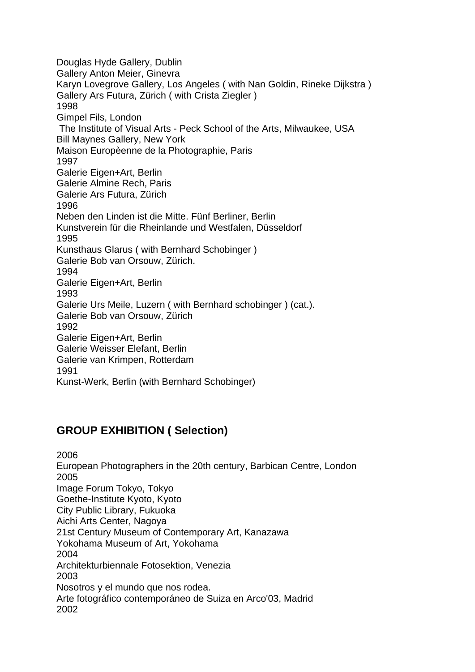Douglas Hyde Gallery, Dublin Gallery Anton Meier, Ginevra Karyn Lovegrove Gallery, Los Angeles ( with Nan Goldin, Rineke Dijkstra ) Gallery Ars Futura, Zürich ( with Crista Ziegler ) 1998 Gimpel Fils, London The Institute of Visual Arts - Peck School of the Arts, Milwaukee, USA Bill Maynes Gallery, New York Maison Europèenne de la Photographie, Paris 1997 Galerie Eigen+Art, Berlin Galerie Almine Rech, Paris Galerie Ars Futura, Zürich 1996 Neben den Linden ist die Mitte. Fünf Berliner, Berlin Kunstverein für die Rheinlande und Westfalen, Düsseldorf 1995 Kunsthaus Glarus ( with Bernhard Schobinger ) Galerie Bob van Orsouw, Zürich. 1994 Galerie Eigen+Art, Berlin 1993 Galerie Urs Meile, Luzern ( with Bernhard schobinger ) (cat.). Galerie Bob van Orsouw, Zürich 1992 Galerie Eigen+Art, Berlin Galerie Weisser Elefant, Berlin Galerie van Krimpen, Rotterdam 1991 Kunst-Werk, Berlin (with Bernhard Schobinger)

### **GROUP EXHIBITION ( Selection)**

2006 European Photographers in the 20th century, Barbican Centre, London 2005 Image Forum Tokyo, Tokyo Goethe-Institute Kyoto, Kyoto City Public Library, Fukuoka Aichi Arts Center, Nagoya 21st Century Museum of Contemporary Art, Kanazawa Yokohama Museum of Art, Yokohama 2004 Architekturbiennale Fotosektion, Venezia 2003 Nosotros y el mundo que nos rodea. Arte fotográfico contemporáneo de Suiza en Arco'03, Madrid 2002